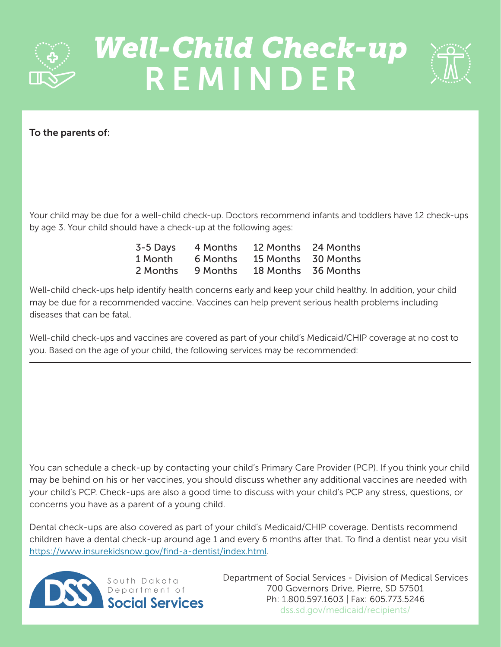

## *Well-Child Check-up*  REMINDER



To the parents of:

Your child may be due for a well-child check-up. Doctors recommend infants and toddlers have 12 check-ups by age 3. Your child should have a check-up at the following ages:

| 3-5 Days | 4 Months | 12 Months | 24 Months |
|----------|----------|-----------|-----------|
| 1 Month  | 6 Months | 15 Months | 30 Months |
| 2 Months | 9 Months | 18 Months | 36 Months |

Well-child check-ups help identify health concerns early and keep your child healthy. In addition, your child may be due for a recommended vaccine. Vaccines can help prevent serious health problems including diseases that can be fatal.

Well-child check-ups and vaccines are covered as part of your child's Medicaid/CHIP coverage at no cost to you. Based on the age of your child, the following services may be recommended:

You can schedule a check-up by contacting your child's Primary Care Provider (PCP). If you think your child may be behind on his or her vaccines, you should discuss whether any additional vaccines are needed with your child's PCP. Check-ups are also a good time to discuss with your child's PCP any stress, questions, or concerns you have as a parent of a young child.

Dental check-ups are also covered as part of your child's Medicaid/CHIP coverage. Dentists recommend children have a dental check-up around age 1 and every 6 months after that. To find a dentist near you visit [https://www.insurekidsnow.gov/find-a-dentist/index.html.](https://www.insurekidsnow.gov/find-a-dentist/index.html)



Department of Social Services - Division of Medical Services 700 Governors Drive, Pierre, SD 57501 Ph: 1.800.597.1603 | Fax: 605.773.5246 [dss.sd.gov/medicaid/recipients/](https://dss.sd.gov/medicaid/recipients/)